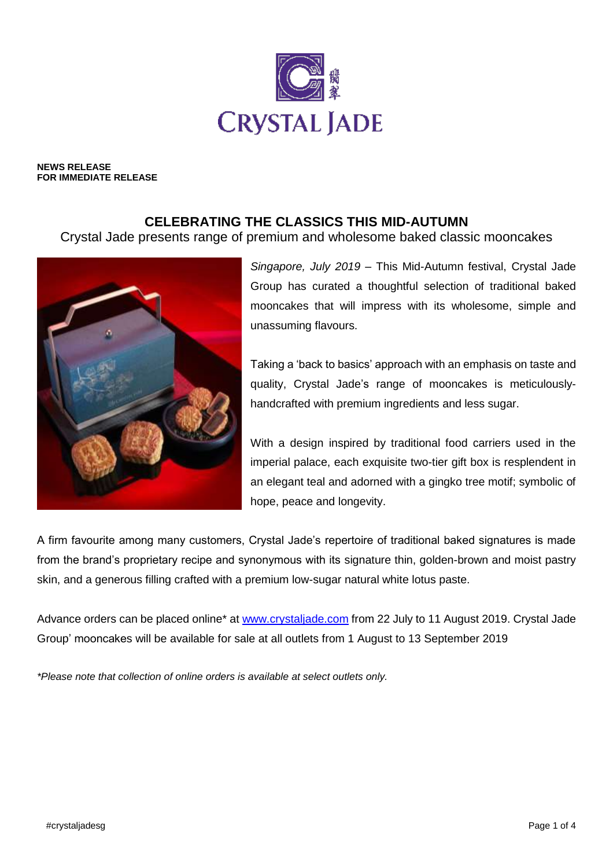

**NEWS RELEASE FOR IMMEDIATE RELEASE**

## **CELEBRATING THE CLASSICS THIS MID-AUTUMN**

Crystal Jade presents range of premium and wholesome baked classic mooncakes



*Singapore, July 2019* – This Mid-Autumn festival, Crystal Jade Group has curated a thoughtful selection of traditional baked mooncakes that will impress with its wholesome, simple and unassuming flavours.

Taking a 'back to basics' approach with an emphasis on taste and quality, Crystal Jade's range of mooncakes is meticulouslyhandcrafted with premium ingredients and less sugar.

With a design inspired by traditional food carriers used in the imperial palace, each exquisite two-tier gift box is resplendent in an elegant teal and adorned with a gingko tree motif; symbolic of hope, peace and longevity.

A firm favourite among many customers, Crystal Jade's repertoire of traditional baked signatures is made from the brand's proprietary recipe and synonymous with its signature thin, golden-brown and moist pastry skin, and a generous filling crafted with a premium low-sugar natural white lotus paste.

Advance orders can be placed online\* at [www.crystaljade.com](http://www.crystaljade.com/) from 22 July to 11 August 2019. Crystal Jade Group' mooncakes will be available for sale at all outlets from 1 August to 13 September 2019

*\*Please note that collection of online orders is available at select outlets only.*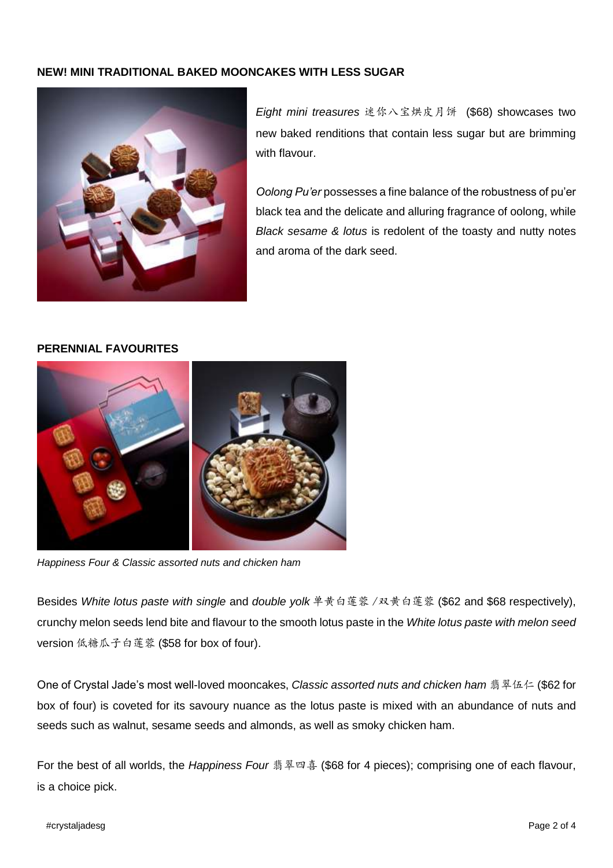### **NEW! MINI TRADITIONAL BAKED MOONCAKES WITH LESS SUGAR**



*Eight mini treasures* 迷你八宝烘皮月饼 (\$68) showcases two new baked renditions that contain less sugar but are brimming with flavour.

*Oolong Pu'er* possesses a fine balance of the robustness of pu'er black tea and the delicate and alluring fragrance of oolong, while *Black sesame & lotus* is redolent of the toasty and nutty notes and aroma of the dark seed.

### **PERENNIAL FAVOURITES**



*Happiness Four & Classic assorted nuts and chicken ham*

Besides *White lotus paste with single* and *double yolk* 单黄白莲蓉 /双黄白莲蓉 (\$62 and \$68 respectively), crunchy melon seeds lend bite and flavour to the smooth lotus paste in the *White lotus paste with melon seed*  version 低糖瓜子白莲蓉 (\$58 for box of four).

One of Crystal Jade's most well-loved mooncakes, *Classic assorted nuts and chicken ham* 翡翠伍仁 (\$62 for box of four) is coveted for its savoury nuance as the lotus paste is mixed with an abundance of nuts and seeds such as walnut, sesame seeds and almonds, as well as smoky chicken ham.

For the best of all worlds, the *Happiness Four* 翡翠四喜 (\$68 for 4 pieces); comprising one of each flavour, is a choice pick.

#### #crystaljadesg Page 2 of 4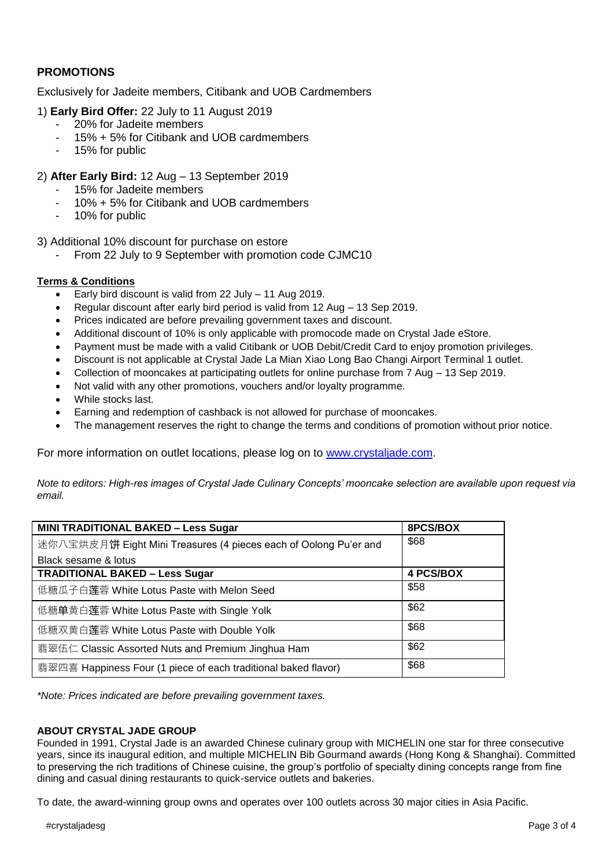## **PROMOTIONS**

Exclusively for Jadeite members, Citibank and UOB Cardmembers

- 1) **Early Bird Offer:** 22 July to 11 August 2019
	- 20% for Jadeite members
	- 15% + 5% for Citibank and UOB cardmembers
	- 15% for public
- 2) **After Early Bird:** 12 Aug 13 September 2019
	- 15% for Jadeite members
	- 10% + 5% for Citibank and UOB cardmembers
	- 10% for public
- 3) Additional 10% discount for purchase on estore
	- From 22 July to 9 September with promotion code CJMC10

#### **Terms & Conditions**

- Early bird discount is valid from 22 July 11 Aug 2019.
- Regular discount after early bird period is valid from 12 Aug 13 Sep 2019.
- Prices indicated are before prevailing government taxes and discount.
- Additional discount of 10% is only applicable with promocode made on Crystal Jade eStore.
- Payment must be made with a valid Citibank or UOB Debit/Credit Card to enjoy promotion privileges.
- Discount is not applicable at Crystal Jade La Mian Xiao Long Bao Changi Airport Terminal 1 outlet.
- Collection of mooncakes at participating outlets for online purchase from 7 Aug 13 Sep 2019.
- Not valid with any other promotions, vouchers and/or loyalty programme.
- While stocks last.
- Earning and redemption of cashback is not allowed for purchase of mooncakes.
- The management reserves the right to change the terms and conditions of promotion without prior notice.

For more information on outlet locations, please log on to www.crystaliade.com.

*Note to editors: High-res images of Crystal Jade Culinary Concepts' mooncake selection are available upon request via email.*

| <b>MINI TRADITIONAL BAKED - Less Sugar</b>                       | 8PCS/BOX         |
|------------------------------------------------------------------|------------------|
| 迷你八宝烘皮月饼 Eight Mini Treasures (4 pieces each of Oolong Pu'er and | \$68             |
| Black sesame & lotus                                             |                  |
| <b>TRADITIONAL BAKED - Less Sugar</b>                            | <b>4 PCS/BOX</b> |
| 低糖瓜子白莲蓉 White Lotus Paste with Melon Seed                        | \$58             |
| 低糖单黄白莲蓉 White Lotus Paste with Single Yolk                       | \$62             |
| 低糖双黄白莲蓉 White Lotus Paste with Double Yolk                       | \$68             |
| 翡翠伍仁 Classic Assorted Nuts and Premium Jinghua Ham               | \$62             |
| 翡翠四喜 Happiness Four (1 piece of each traditional baked flavor)   | \$68             |

*\*Note: Prices indicated are before prevailing government taxes.*

#### **ABOUT CRYSTAL JADE GROUP**

Founded in 1991, Crystal Jade is an awarded Chinese culinary group with MICHELIN one star for three consecutive years, since its inaugural edition, and multiple MICHELIN Bib Gourmand awards (Hong Kong & Shanghai). Committed to preserving the rich traditions of Chinese cuisine, the group's portfolio of specialty dining concepts range from fine dining and casual dining restaurants to quick-service outlets and bakeries.

To date, the award-winning group owns and operates over 100 outlets across 30 major cities in Asia Pacific.